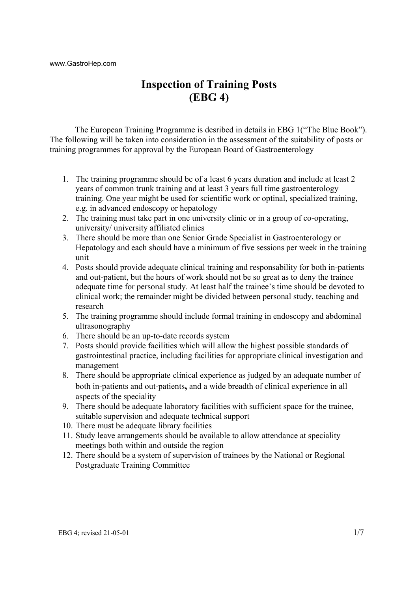www.GastroHep.com

# **Inspection of Training Posts (EBG 4)**

The European Training Programme is desribed in details in EBG 1("The Blue Book"). The following will be taken into consideration in the assessment of the suitability of posts or training programmes for approval by the European Board of Gastroenterology

- 1. The training programme should be of a least 6 years duration and include at least 2 years of common trunk training and at least 3 years full time gastroenterology training. One year might be used for scientific work or optinal, specialized training, e.g. in advanced endoscopy or hepatology
- 2. The training must take part in one university clinic or in a group of co-operating, university/ university affiliated clinics
- 3. There should be more than one Senior Grade Specialist in Gastroenterology or Hepatology and each should have a minimum of five sessions per week in the training unit
- 4. Posts should provide adequate clinical training and responsability for both in-patients and out-patient, but the hours of work should not be so great as to deny the trainee adequate time for personal study. At least half the trainee's time should be devoted to clinical work; the remainder might be divided between personal study, teaching and research
- 5. The training programme should include formal training in endoscopy and abdominal ultrasonography
- 6. There should be an up-to-date records system
- 7. Posts should provide facilities which will allow the highest possible standards of gastrointestinal practice, including facilities for appropriate clinical investigation and management
- 8. There should be appropriate clinical experience as judged by an adequate number of both in-patients and out-patients**,** and a wide breadth of clinical experience in all aspects of the speciality
- 9. There should be adequate laboratory facilities with sufficient space for the trainee, suitable supervision and adequate technical support
- 10. There must be adequate library facilities
- 11. Study leave arrangements should be available to allow attendance at speciality meetings both within and outside the region
- 12. There should be a system of supervision of trainees by the National or Regional Postgraduate Training Committee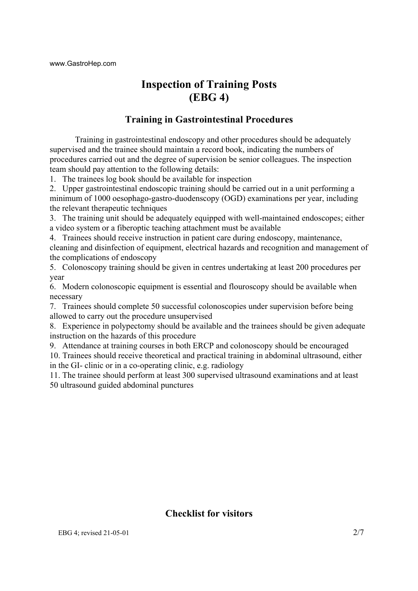# **Inspection of Training Posts (EBG 4)**

## **Training in Gastrointestinal Procedures**

Training in gastrointestinal endoscopy and other procedures should be adequately supervised and the trainee should maintain a record book, indicating the numbers of procedures carried out and the degree of supervision be senior colleagues. The inspection team should pay attention to the following details:

1. The trainees log book should be available for inspection

2. Upper gastrointestinal endoscopic training should be carried out in a unit performing a minimum of 1000 oesophago-gastro-duodenscopy (OGD) examinations per year, including the relevant therapeutic techniques

3. The training unit should be adequately equipped with well-maintained endoscopes; either a video system or a fiberoptic teaching attachment must be available

4. Trainees should receive instruction in patient care during endoscopy, maintenance, cleaning and disinfection of equipment, electrical hazards and recognition and management of the complications of endoscopy

5. Colonoscopy training should be given in centres undertaking at least 200 procedures per year

6. Modern colonoscopic equipment is essential and flouroscopy should be available when necessary

7. Trainees should complete 50 successful colonoscopies under supervision before being allowed to carry out the procedure unsupervised

8. Experience in polypectomy should be available and the trainees should be given adequate instruction on the hazards of this procedure

9. Attendance at training courses in both ERCP and colonoscopy should be encouraged 10. Trainees should receive theoretical and practical training in abdominal ultrasound, either in the GI- clinic or in a co-operating clinic, e.g. radiology

11. The trainee should perform at least 300 supervised ultrasound examinations and at least 50 ultrasound guided abdominal punctures

## **Checklist for visitors**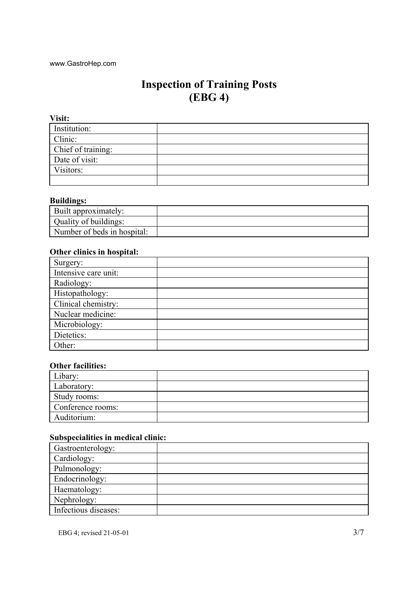# **Inspection of Training Posts (EBG 4)**

**Visit:** Institution: Clinic: Chief of training: Date of visit: Visitors:

#### **Buildings:**

| Built approximately:        |  |
|-----------------------------|--|
| Quality of buildings:       |  |
| Number of beds in hospital: |  |

#### **Other clinics in hospital:**

 $\sim$ 

| Surgery:             |  |
|----------------------|--|
| Intensive care unit: |  |
| Radiology:           |  |
| Histopathology:      |  |
| Clinical chemistry:  |  |
| Nuclear medicine:    |  |
| Microbiology:        |  |
| Dietetics:           |  |
| Other:               |  |

#### **Other facilities:**

| Libary <sup>-</sup> |  |
|---------------------|--|
| Laboratory:         |  |
| Study rooms:        |  |
| Conference rooms:   |  |
| Auditorium:         |  |

#### **Subspecialities in medical clinic:**

| Gastroenterology:    |  |
|----------------------|--|
| Cardiology:          |  |
| Pulmonology:         |  |
| Endocrinology:       |  |
| Haematology:         |  |
| Nephrology:          |  |
| Infectious diseases: |  |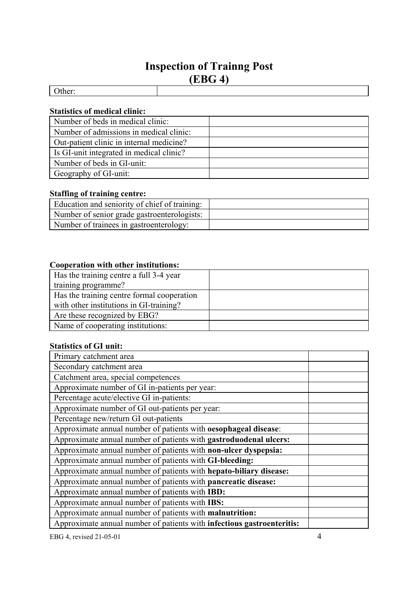# **Inspection of Trainng Post (EBG 4)**

#### **Statistics of medical clinic:**

| Number of beds in medical clinic:        |  |
|------------------------------------------|--|
| Number of admissions in medical clinic:  |  |
| Out-patient clinic in internal medicine? |  |
| Is GI-unit integrated in medical clinic? |  |
| Number of beds in GI-unit:               |  |
| Geography of GI-unit:                    |  |

## **Staffing of training centre:**

| Education and seniority of chief of training: |  |
|-----------------------------------------------|--|
| Number of senior grade gastroenterologists:   |  |
| Number of trainees in gastroenterology:       |  |

#### **Cooperation with other institutions:**

| Has the training centre a full 3-4 year    |  |
|--------------------------------------------|--|
| training programme?                        |  |
| Has the training centre formal cooperation |  |
| with other institutions in GI-training?    |  |
| Are these recognized by EBG?               |  |
| Name of cooperating institutions:          |  |

#### **Statistics of GI unit:**

| Primary catchment area                                                 |  |
|------------------------------------------------------------------------|--|
| Secondary catchment area                                               |  |
| Catchment area, special competences                                    |  |
| Approximate number of GI in-patients per year:                         |  |
| Percentage acute/elective GI in-patients:                              |  |
| Approximate number of GI out-patients per year:                        |  |
| Percentage new/return GI out-patients                                  |  |
| Approximate annual number of patients with oesophageal disease:        |  |
| Approximate annual number of patients with gastroduodenal ulcers:      |  |
| Approximate annual number of patients with non-ulcer dyspepsia:        |  |
| Approximate annual number of patients with GI-bleeding:                |  |
| Approximate annual number of patients with hepato-biliary disease:     |  |
| Approximate annual number of patients with pancreatic disease:         |  |
| Approximate annual number of patients with IBD:                        |  |
| Approximate annual number of patients with IBS:                        |  |
| Approximate annual number of patients with malnutrition:               |  |
| Approximate annual number of patients with infectious gastroenteritis: |  |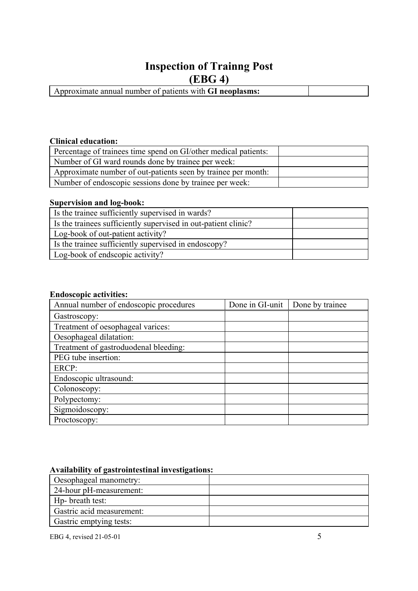# **Inspection of Trainng Post**

**(EBG 4)** 

| Approximate annual number of patients with <b>GI neoplasms:</b> |  |
|-----------------------------------------------------------------|--|
|                                                                 |  |
|                                                                 |  |
|                                                                 |  |
|                                                                 |  |

#### **Clinical education:**

| Percentage of trainees time spend on GI/other medical patients: |  |
|-----------------------------------------------------------------|--|
| Number of GI ward rounds done by trainee per week:              |  |
| Approximate number of out-patients seen by trainee per month:   |  |
| Number of endoscopic sessions done by trainee per week:         |  |

#### **Supervision and log-book:**

| Is the trainee sufficiently supervised in wards?               |  |
|----------------------------------------------------------------|--|
| Is the trainees sufficiently supervised in out-patient clinic? |  |
| Log-book of out-patient activity?                              |  |
| Is the trainee sufficiently supervised in endoscopy?           |  |
| Log-book of endscopic activity?                                |  |

#### **Endoscopic activities:**

| Annual number of endoscopic procedures | Done in GI-unit | Done by trainee |
|----------------------------------------|-----------------|-----------------|
| Gastroscopy:                           |                 |                 |
| Treatment of oesophageal varices:      |                 |                 |
| Oesophageal dilatation:                |                 |                 |
| Treatment of gastroduodenal bleeding:  |                 |                 |
| PEG tube insertion:                    |                 |                 |
| ERCP:                                  |                 |                 |
| Endoscopic ultrasound:                 |                 |                 |
| Colonoscopy:                           |                 |                 |
| Polypectomy:                           |                 |                 |
| Sigmoidoscopy:                         |                 |                 |
| Proctoscopy:                           |                 |                 |

## **Availability of gastrointestinal investigations:**

| Oesophageal manometry:    |  |
|---------------------------|--|
| 24-hour pH-measurement:   |  |
| Hp- breath test:          |  |
| Gastric acid measurement: |  |
| Gastric emptying tests:   |  |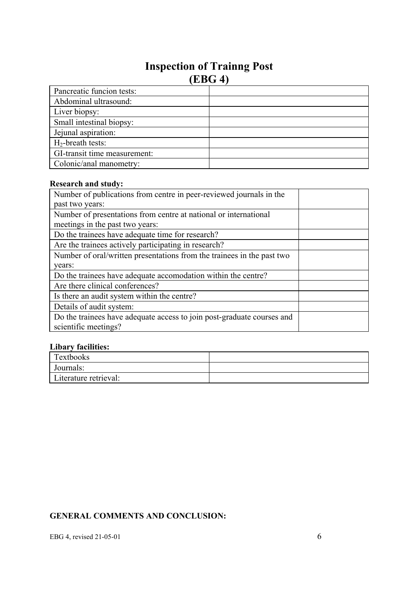# **Inspection of Trainng Post (EBG 4)**

| Pancreatic funcion tests:    |  |
|------------------------------|--|
| Abdominal ultrasound:        |  |
| Liver biopsy:                |  |
| Small intestinal biopsy:     |  |
| Jejunal aspiration:          |  |
| $H_2$ -breath tests:         |  |
| GI-transit time measurement: |  |
| Colonic/anal manometry:      |  |

## **Research and study:**

| Number of publications from centre in peer-reviewed journals in the    |  |
|------------------------------------------------------------------------|--|
| past two years:                                                        |  |
| Number of presentations from centre at national or international       |  |
| meetings in the past two years:                                        |  |
| Do the trainees have adequate time for research?                       |  |
| Are the trainees actively participating in research?                   |  |
| Number of oral/written presentations from the trainees in the past two |  |
| years:                                                                 |  |
| Do the trainees have adequate accomodation within the centre?          |  |
| Are there clinical conferences?                                        |  |
| Is there an audit system within the centre?                            |  |
| Details of audit system:                                               |  |
| Do the trainees have adequate access to join post-graduate courses and |  |
| scientific meetings?                                                   |  |

## **Libary facilities:**

| <b>Textbooks</b>      |  |
|-----------------------|--|
| Journals:             |  |
| Literature retrieval: |  |

## **GENERAL COMMENTS AND CONCLUSION:**